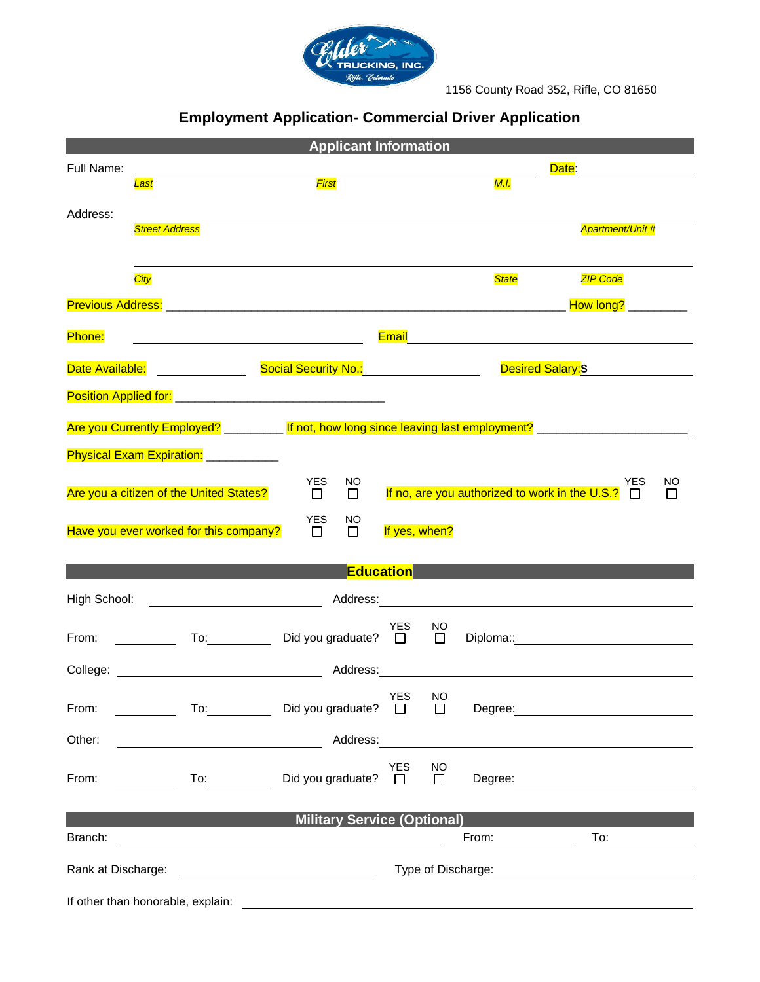

1156 County Road 352, Rifle, CO 81650

# **Employment Application- Commercial Driver Application**

| <b>Applicant Information</b>                                                                                                                                                                                                                                                                                                                                                                                                                                     |                                           |                     |              |                                                                                                                                                                                                                                |
|------------------------------------------------------------------------------------------------------------------------------------------------------------------------------------------------------------------------------------------------------------------------------------------------------------------------------------------------------------------------------------------------------------------------------------------------------------------|-------------------------------------------|---------------------|--------------|--------------------------------------------------------------------------------------------------------------------------------------------------------------------------------------------------------------------------------|
| Full Name:                                                                                                                                                                                                                                                                                                                                                                                                                                                       |                                           |                     |              | <b>Date: Date: Date: Propose</b>                                                                                                                                                                                               |
| Last                                                                                                                                                                                                                                                                                                                                                                                                                                                             | First                                     |                     | <b>M.I.</b>  |                                                                                                                                                                                                                                |
| Address:                                                                                                                                                                                                                                                                                                                                                                                                                                                         |                                           |                     |              |                                                                                                                                                                                                                                |
| <b>Street Address</b>                                                                                                                                                                                                                                                                                                                                                                                                                                            |                                           |                     |              | <b>Apartment/Unit #</b>                                                                                                                                                                                                        |
|                                                                                                                                                                                                                                                                                                                                                                                                                                                                  |                                           |                     |              |                                                                                                                                                                                                                                |
| City                                                                                                                                                                                                                                                                                                                                                                                                                                                             |                                           |                     | <b>State</b> | <b>ZIP Code</b>                                                                                                                                                                                                                |
|                                                                                                                                                                                                                                                                                                                                                                                                                                                                  |                                           |                     |              |                                                                                                                                                                                                                                |
| Previous Address: 2008. 2009. 2009. 2010. 2010. 2010. 2010. 2010. 2010. 2010. 2010. 2010. 2010. 2010. 2010. 20                                                                                                                                                                                                                                                                                                                                                   |                                           |                     |              | How long? __________                                                                                                                                                                                                           |
| Phone:<br><u> 1980 - Johann Barn, mars ann an t-Amhain Aonaich an t-Aonaich an t-Aonaich ann an t-Aonaich ann an t-Aonaich</u>                                                                                                                                                                                                                                                                                                                                   |                                           |                     |              | Email 2008 - 2009 - 2009 - 2010 - 2010 - 2011 - 2012 - 2012 - 2014 - 2014 - 2014 - 2014 - 2014 - 2014 - 2014 -                                                                                                                 |
|                                                                                                                                                                                                                                                                                                                                                                                                                                                                  |                                           |                     |              |                                                                                                                                                                                                                                |
| Date Available: <u>Contractor Contractor</u>                                                                                                                                                                                                                                                                                                                                                                                                                     | Social Security No.: Social Security No.: |                     |              | Desired Salary:\$                                                                                                                                                                                                              |
|                                                                                                                                                                                                                                                                                                                                                                                                                                                                  |                                           |                     |              |                                                                                                                                                                                                                                |
| Are you Currently Employed? __________ If not, how long since leaving last employment? _______________________                                                                                                                                                                                                                                                                                                                                                   |                                           |                     |              |                                                                                                                                                                                                                                |
|                                                                                                                                                                                                                                                                                                                                                                                                                                                                  |                                           |                     |              |                                                                                                                                                                                                                                |
| Physical Exam Expiration: ____________                                                                                                                                                                                                                                                                                                                                                                                                                           |                                           |                     |              |                                                                                                                                                                                                                                |
| Are you a citizen of the United States?                                                                                                                                                                                                                                                                                                                                                                                                                          | <b>YES</b><br>NO.<br>$\Box$<br>$\Box$     |                     |              | YES<br>NO<br>If no, are you authorized to work in the U.S.? $\square$<br>$\Box$                                                                                                                                                |
|                                                                                                                                                                                                                                                                                                                                                                                                                                                                  |                                           |                     |              |                                                                                                                                                                                                                                |
| Have you ever worked for this company?                                                                                                                                                                                                                                                                                                                                                                                                                           | <b>YES</b><br>NO.<br>$\Box$<br>$\Box$     | If yes, when?       |              |                                                                                                                                                                                                                                |
|                                                                                                                                                                                                                                                                                                                                                                                                                                                                  |                                           |                     |              |                                                                                                                                                                                                                                |
|                                                                                                                                                                                                                                                                                                                                                                                                                                                                  | <b>Education</b>                          |                     |              |                                                                                                                                                                                                                                |
| High School:                                                                                                                                                                                                                                                                                                                                                                                                                                                     |                                           |                     |              | Address: Analysis and the state of the state of the state of the state of the state of the state of the state of the state of the state of the state of the state of the state of the state of the state of the state of the s |
| <u> 1990 - John Stein, Amerikaansk politiker (</u>                                                                                                                                                                                                                                                                                                                                                                                                               |                                           |                     |              |                                                                                                                                                                                                                                |
| To: the contract of the contract of the contract of the contract of the contract of the contract of the contract of the contract of the contract of the contract of the contract of the contract of the contract of the contra<br>From: The contract of the contract of the contract of the contract of the contract of the contract of the contract of the contract of the contract of the contract of the contract of the contract of the contract of the cont | Did you graduate? $\Box$                  | YES<br>NO<br>$\Box$ | Diploma::    |                                                                                                                                                                                                                                |
|                                                                                                                                                                                                                                                                                                                                                                                                                                                                  |                                           |                     |              |                                                                                                                                                                                                                                |
| College:                                                                                                                                                                                                                                                                                                                                                                                                                                                         | Address:                                  |                     |              | <u> 1989 - Johann Barn, fransk politik (d. 1989)</u>                                                                                                                                                                           |
|                                                                                                                                                                                                                                                                                                                                                                                                                                                                  |                                           | YES NO              |              |                                                                                                                                                                                                                                |
| To: Did you graduate?<br>From:                                                                                                                                                                                                                                                                                                                                                                                                                                   |                                           | $\Box$              |              |                                                                                                                                                                                                                                |
| Other:                                                                                                                                                                                                                                                                                                                                                                                                                                                           |                                           |                     |              |                                                                                                                                                                                                                                |
|                                                                                                                                                                                                                                                                                                                                                                                                                                                                  |                                           | YES<br>NO.          |              |                                                                                                                                                                                                                                |
| To: Did you graduate?<br>From:                                                                                                                                                                                                                                                                                                                                                                                                                                   |                                           | $\Box$              |              |                                                                                                                                                                                                                                |
|                                                                                                                                                                                                                                                                                                                                                                                                                                                                  |                                           |                     |              |                                                                                                                                                                                                                                |
| <b>Military Service (Optional) Contract Contract Contract Contract Contract Contract Contract Contract Contract Contract Contract Contract Contract Contract Contract Contract Contract Contract Contract Contract Contract Co</b>                                                                                                                                                                                                                               |                                           |                     |              |                                                                                                                                                                                                                                |
|                                                                                                                                                                                                                                                                                                                                                                                                                                                                  |                                           |                     |              | From: To: To:                                                                                                                                                                                                                  |
|                                                                                                                                                                                                                                                                                                                                                                                                                                                                  |                                           |                     |              | Type of Discharge: <u>contained and the set of Discharge:</u>                                                                                                                                                                  |
|                                                                                                                                                                                                                                                                                                                                                                                                                                                                  |                                           |                     |              |                                                                                                                                                                                                                                |
|                                                                                                                                                                                                                                                                                                                                                                                                                                                                  |                                           |                     |              |                                                                                                                                                                                                                                |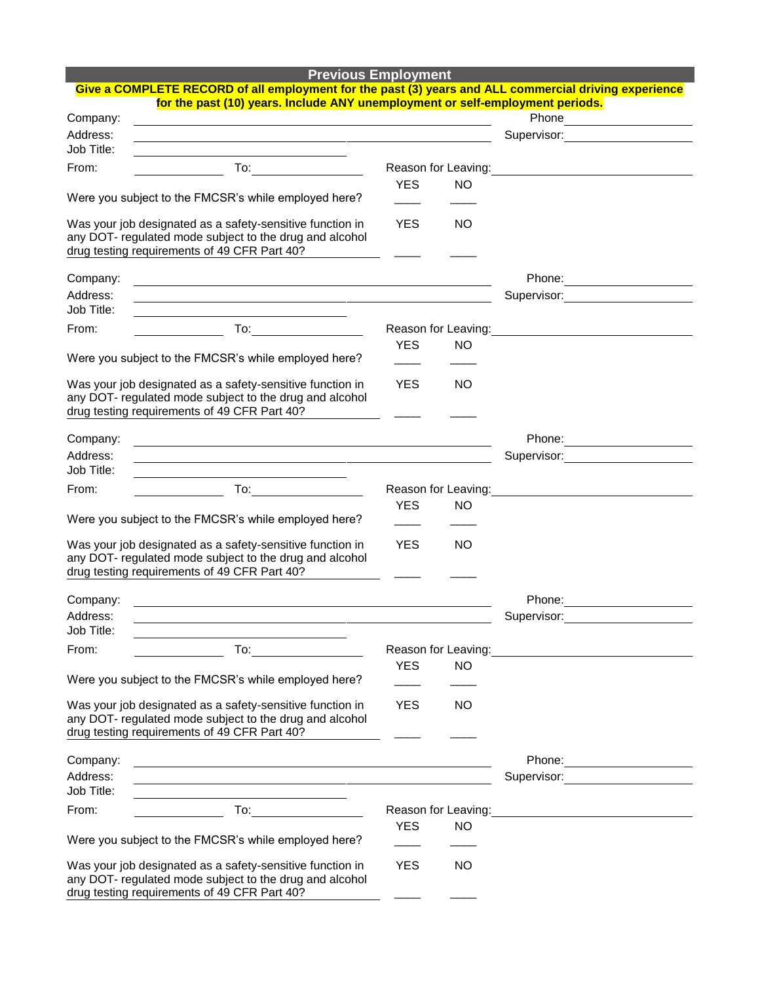| <b>Previous Employment</b> |  |
|----------------------------|--|
|                            |  |

|                      | Give a COMPLETE RECORD of all employment for the past (3) years and ALL commercial driving experience                                                                                                                                                                                                                                               |            |                     |                                                                                                                                                                                                                                        |
|----------------------|-----------------------------------------------------------------------------------------------------------------------------------------------------------------------------------------------------------------------------------------------------------------------------------------------------------------------------------------------------|------------|---------------------|----------------------------------------------------------------------------------------------------------------------------------------------------------------------------------------------------------------------------------------|
| Company:             | for the past (10) years. Include ANY unemployment or self-employment periods.                                                                                                                                                                                                                                                                       |            |                     |                                                                                                                                                                                                                                        |
| Address:             | and the control of the control of the control of the control of the control of the control of the control of the                                                                                                                                                                                                                                    |            |                     | Phone <u>______________</u>                                                                                                                                                                                                            |
| Job Title:           |                                                                                                                                                                                                                                                                                                                                                     |            |                     |                                                                                                                                                                                                                                        |
| From:                | $\begin{picture}(20,20) \put(0,0){\line(1,0){10}} \put(15,0){\line(1,0){10}} \put(15,0){\line(1,0){10}} \put(15,0){\line(1,0){10}} \put(15,0){\line(1,0){10}} \put(15,0){\line(1,0){10}} \put(15,0){\line(1,0){10}} \put(15,0){\line(1,0){10}} \put(15,0){\line(1,0){10}} \put(15,0){\line(1,0){10}} \put(15,0){\line(1,0){10}} \put(15,0){\line(1$ |            |                     | Reason for Leaving:<br><u>Next and the manual contract of the set of the set of the set of the set of the set of the set of the set of the set of the set of the set of the set of the set of the set of the set of the set of the</u> |
|                      |                                                                                                                                                                                                                                                                                                                                                     | <b>YES</b> | <b>NO</b>           |                                                                                                                                                                                                                                        |
|                      | Were you subject to the FMCSR's while employed here?                                                                                                                                                                                                                                                                                                |            |                     |                                                                                                                                                                                                                                        |
|                      | Was your job designated as a safety-sensitive function in<br>any DOT- regulated mode subject to the drug and alcohol<br>drug testing requirements of 49 CFR Part 40?                                                                                                                                                                                | <b>YES</b> | <b>NO</b>           |                                                                                                                                                                                                                                        |
| Company:             |                                                                                                                                                                                                                                                                                                                                                     |            |                     |                                                                                                                                                                                                                                        |
| Address:             | and the control of the control of the control of the control of the control of the control of the control of the                                                                                                                                                                                                                                    |            |                     | Phone:                                                                                                                                                                                                                                 |
| Job Title:           | and the control of the control of the control of the control of the control of the control of the control of the                                                                                                                                                                                                                                    |            |                     |                                                                                                                                                                                                                                        |
| From:                | $\begin{picture}(18,17) \put(0,0){\line(1,0){10}} \put(15,0){\line(1,0){10}} \put(15,0){\line(1,0){10}} \put(15,0){\line(1,0){10}} \put(15,0){\line(1,0){10}} \put(15,0){\line(1,0){10}} \put(15,0){\line(1,0){10}} \put(15,0){\line(1,0){10}} \put(15,0){\line(1,0){10}} \put(15,0){\line(1,0){10}} \put(15,0){\line(1,0){10}} \put(15,0){\line(1$ |            |                     |                                                                                                                                                                                                                                        |
|                      |                                                                                                                                                                                                                                                                                                                                                     | <b>YES</b> | <b>NO</b>           |                                                                                                                                                                                                                                        |
|                      | Were you subject to the FMCSR's while employed here?                                                                                                                                                                                                                                                                                                |            |                     |                                                                                                                                                                                                                                        |
|                      | Was your job designated as a safety-sensitive function in<br>any DOT- regulated mode subject to the drug and alcohol<br>drug testing requirements of 49 CFR Part 40?                                                                                                                                                                                | <b>YES</b> | <b>NO</b>           |                                                                                                                                                                                                                                        |
| Company:             |                                                                                                                                                                                                                                                                                                                                                     |            |                     |                                                                                                                                                                                                                                        |
| Address:             |                                                                                                                                                                                                                                                                                                                                                     |            |                     | Supervisor: <b>Example 2019</b>                                                                                                                                                                                                        |
| Job Title:           |                                                                                                                                                                                                                                                                                                                                                     |            |                     |                                                                                                                                                                                                                                        |
| From:                |                                                                                                                                                                                                                                                                                                                                                     |            |                     |                                                                                                                                                                                                                                        |
|                      |                                                                                                                                                                                                                                                                                                                                                     | <b>YES</b> | <b>NO</b>           |                                                                                                                                                                                                                                        |
|                      | Were you subject to the FMCSR's while employed here?                                                                                                                                                                                                                                                                                                |            |                     |                                                                                                                                                                                                                                        |
|                      | Was your job designated as a safety-sensitive function in<br>any DOT- regulated mode subject to the drug and alcohol<br>drug testing requirements of 49 CFR Part 40?                                                                                                                                                                                | <b>YES</b> | <b>NO</b>           |                                                                                                                                                                                                                                        |
|                      |                                                                                                                                                                                                                                                                                                                                                     |            |                     | Phone:                                                                                                                                                                                                                                 |
| Company:<br>Address: |                                                                                                                                                                                                                                                                                                                                                     |            |                     | Supervisor:                                                                                                                                                                                                                            |
| Job Title:           |                                                                                                                                                                                                                                                                                                                                                     |            |                     |                                                                                                                                                                                                                                        |
| From:                | To:                                                                                                                                                                                                                                                                                                                                                 |            | Reason for Leaving: |                                                                                                                                                                                                                                        |
|                      |                                                                                                                                                                                                                                                                                                                                                     | <b>YES</b> | <b>NO</b>           |                                                                                                                                                                                                                                        |
|                      | Were you subject to the FMCSR's while employed here?                                                                                                                                                                                                                                                                                                |            |                     |                                                                                                                                                                                                                                        |
|                      | Was your job designated as a safety-sensitive function in<br>any DOT- regulated mode subject to the drug and alcohol<br>drug testing requirements of 49 CFR Part 40?                                                                                                                                                                                | <b>YES</b> | <b>NO</b>           |                                                                                                                                                                                                                                        |
| Company:             |                                                                                                                                                                                                                                                                                                                                                     |            |                     | Phone:                                                                                                                                                                                                                                 |
| Address:             | <u> 1989 - Johann Barbara, marka a shekara tsa 1989 - An tsa 1989 - An tsa 1989 - An tsa 1989 - An tsa 1989 - An</u>                                                                                                                                                                                                                                |            |                     | Supervisor: Supervisor:                                                                                                                                                                                                                |
| Job Title:           |                                                                                                                                                                                                                                                                                                                                                     |            |                     |                                                                                                                                                                                                                                        |
| From:                | <b>To:</b> the contract of the contract of the contract of the contract of the contract of the contract of the contract of the contract of the contract of the contract of the contract of the contract of the contract of the cont                                                                                                                 |            | Reason for Leaving: |                                                                                                                                                                                                                                        |
|                      | Were you subject to the FMCSR's while employed here?                                                                                                                                                                                                                                                                                                | <b>YES</b> | <b>NO</b>           |                                                                                                                                                                                                                                        |
|                      | Was your job designated as a safety-sensitive function in<br>any DOT- regulated mode subject to the drug and alcohol<br>drug testing requirements of 49 CFR Part 40?                                                                                                                                                                                | <b>YES</b> | <b>NO</b>           |                                                                                                                                                                                                                                        |
|                      |                                                                                                                                                                                                                                                                                                                                                     |            |                     |                                                                                                                                                                                                                                        |

drug testing requirements of 49 CFR Part 40?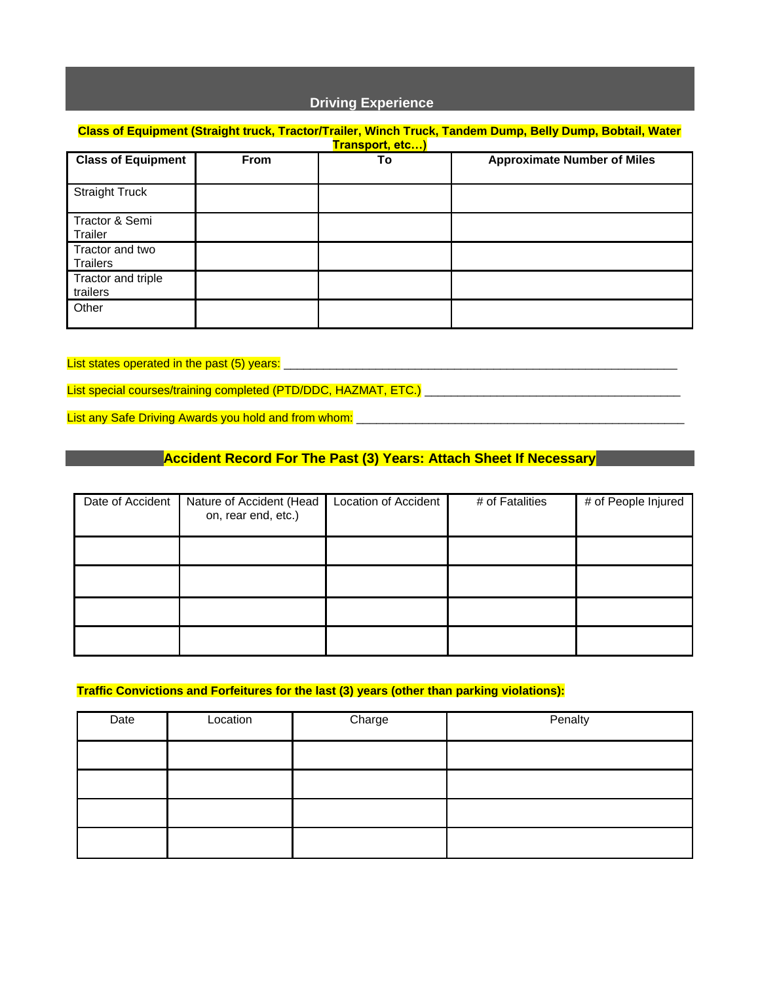## **Driving Experience**

## **Class of Equipment (Straight truck, Tractor/Trailer, Winch Truck, Tandem Dump, Belly Dump, Bobtail, Water Transport, etc…) Class of Equipment From To Approximate Number of Miles** Straight Truck Tractor & Semi Trailer Tractor and two **Trailers** Tractor and triple trailers **Other**

List states operated in the past (5) years:

List special courses/training completed (PTD/DDC, HAZMAT, ETC.) **Letter and the set of the set of the set of the** 

List any Safe Driving Awards you hold and from whom:

## **Accident Record For The Past (3) Years: Attach Sheet If Necessary**

| Date of Accident | Nature of Accident (Head<br>on, rear end, etc.) | Location of Accident | # of Fatalities | # of People Injured |
|------------------|-------------------------------------------------|----------------------|-----------------|---------------------|
|                  |                                                 |                      |                 |                     |
|                  |                                                 |                      |                 |                     |
|                  |                                                 |                      |                 |                     |
|                  |                                                 |                      |                 |                     |

#### **Traffic Convictions and Forfeitures for the last (3) years (other than parking violations):**

| Date | Location | Charge | Penalty |
|------|----------|--------|---------|
|      |          |        |         |
|      |          |        |         |
|      |          |        |         |
|      |          |        |         |